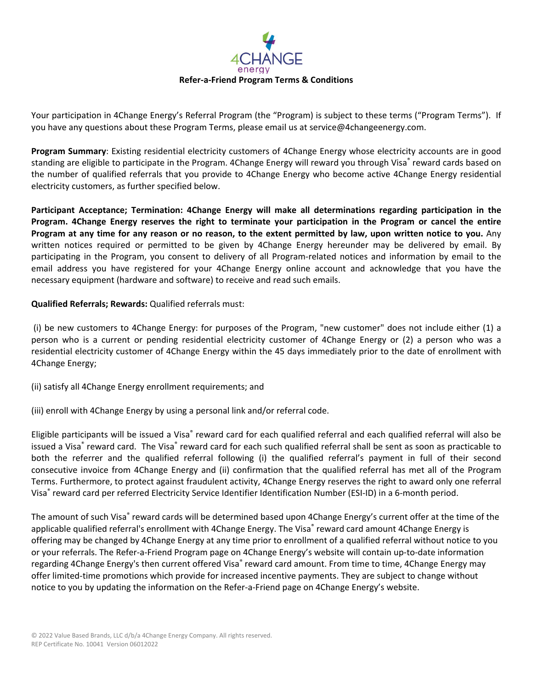

Your participation in 4Change Energy's Referral Program (the "Program) is subject to these terms ("Program Terms"). If you have any questions about these Program Terms, please email us at service@4changeenergy.com.

**Program Summary**: Existing residential electricity customers of 4Change Energy whose electricity accounts are in good standing are eligible to participate in the Program. 4Change Energy will reward you through Visa® reward cards based on the number of qualified referrals that you provide to 4Change Energy who become active 4Change Energy residential electricity customers, as further specified below.

**Participant Acceptance; Termination: 4Change Energy will make all determinations regarding participation in the Program. 4Change Energy reserves the right to terminate your participation in the Program or cancel the entire Program at any time for any reason or no reason, to the extent permitted by law, upon written notice to you.** Any written notices required or permitted to be given by 4Change Energy hereunder may be delivered by email. By participating in the Program, you consent to delivery of all Program-related notices and information by email to the email address you have registered for your 4Change Energy online account and acknowledge that you have the necessary equipment (hardware and software) to receive and read such emails.

## **Qualified Referrals; Rewards:** Qualified referrals must:

(i) be new customers to 4Change Energy: for purposes of the Program, "new customer" does not include either (1) a person who is a current or pending residential electricity customer of 4Change Energy or (2) a person who was a residential electricity customer of 4Change Energy within the 45 days immediately prior to the date of enrollment with 4Change Energy;

- (ii) satisfy all 4Change Energy enrollment requirements; and
- (iii) enroll with 4Change Energy by using a personal link and/or referral code.

Eligible participants will be issued a Visa® reward card for each qualified referral and each qualified referral will also be issued a Visa<sup>®</sup> reward card. The Visa® reward card for each such qualified referral shall be sent as soon as practicable to both the referrer and the qualified referral following (i) the qualified referral's payment in full of their second consecutive invoice from 4Change Energy and (ii) confirmation that the qualified referral has met all of the Program Terms. Furthermore, to protect against fraudulent activity, 4Change Energy reserves the right to award only one referral Visa® reward card per referred Electricity Service Identifier Identification Number (ESI-ID) in a 6-month period.

The amount of such Visa® reward cards will be determined based upon 4Change Energy's current offer at the time of the applicable qualified referral's enrollment with 4Change Energy. The Visa® reward card amount 4Change Energy is offering may be changed by 4Change Energy at any time prior to enrollment of a qualified referral without notice to you or your referrals. The Refer-a-Friend Program page on 4Change Energy's website will contain up-to-date information regarding 4Change Energy's then current offered Visa® reward card amount. From time to time, 4Change Energy may offer limited-time promotions which provide for increased incentive payments. They are subject to change without notice to you by updating the information on the Refer-a-Friend page on 4Change Energy's website.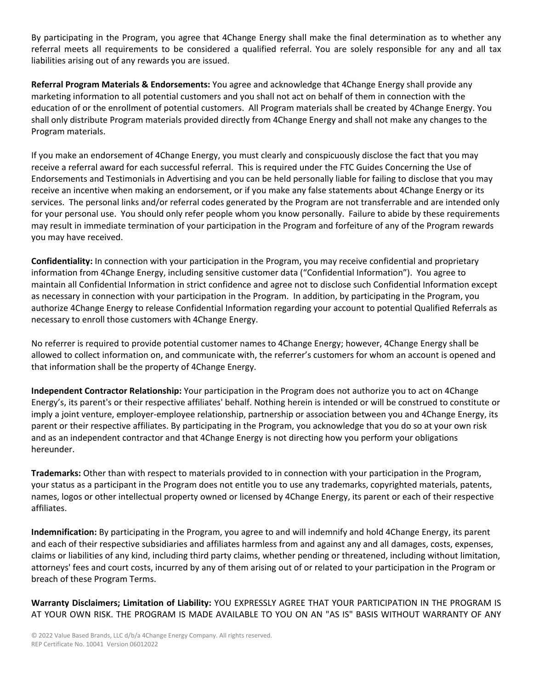By participating in the Program, you agree that 4Change Energy shall make the final determination as to whether any referral meets all requirements to be considered a qualified referral. You are solely responsible for any and all tax liabilities arising out of any rewards you are issued.

**Referral Program Materials & Endorsements:** You agree and acknowledge that 4Change Energy shall provide any marketing information to all potential customers and you shall not act on behalf of them in connection with the education of or the enrollment of potential customers. All Program materials shall be created by 4Change Energy. You shall only distribute Program materials provided directly from 4Change Energy and shall not make any changes to the Program materials.

If you make an endorsement of 4Change Energy, you must clearly and conspicuously disclose the fact that you may receive a referral award for each successful referral. This is required under the FTC Guides Concerning the Use of Endorsements and Testimonials in Advertising and you can be held personally liable for failing to disclose that you may receive an incentive when making an endorsement, or if you make any false statements about 4Change Energy or its services. The personal links and/or referral codes generated by the Program are not transferrable and are intended only for your personal use. You should only refer people whom you know personally. Failure to abide by these requirements may result in immediate termination of your participation in the Program and forfeiture of any of the Program rewards you may have received.

**Confidentiality:** In connection with your participation in the Program, you may receive confidential and proprietary information from 4Change Energy, including sensitive customer data ("Confidential Information"). You agree to maintain all Confidential Information in strict confidence and agree not to disclose such Confidential Information except as necessary in connection with your participation in the Program. In addition, by participating in the Program, you authorize 4Change Energy to release Confidential Information regarding your account to potential Qualified Referrals as necessary to enroll those customers with 4Change Energy.

No referrer is required to provide potential customer names to 4Change Energy; however, 4Change Energy shall be allowed to collect information on, and communicate with, the referrer's customers for whom an account is opened and that information shall be the property of 4Change Energy.

**Independent Contractor Relationship:** Your participation in the Program does not authorize you to act on 4Change Energy's, its parent's or their respective affiliates' behalf. Nothing herein is intended or will be construed to constitute or imply a joint venture, employer-employee relationship, partnership or association between you and 4Change Energy, its parent or their respective affiliates. By participating in the Program, you acknowledge that you do so at your own risk and as an independent contractor and that 4Change Energy is not directing how you perform your obligations hereunder.

**Trademarks:** Other than with respect to materials provided to in connection with your participation in the Program, your status as a participant in the Program does not entitle you to use any trademarks, copyrighted materials, patents, names, logos or other intellectual property owned or licensed by 4Change Energy, its parent or each of their respective affiliates.

**Indemnification:** By participating in the Program, you agree to and will indemnify and hold 4Change Energy, its parent and each of their respective subsidiaries and affiliates harmless from and against any and all damages, costs, expenses, claims or liabilities of any kind, including third party claims, whether pending or threatened, including without limitation, attorneys' fees and court costs, incurred by any of them arising out of or related to your participation in the Program or breach of these Program Terms.

**Warranty Disclaimers; Limitation of Liability:** YOU EXPRESSLY AGREE THAT YOUR PARTICIPATION IN THE PROGRAM IS AT YOUR OWN RISK. THE PROGRAM IS MADE AVAILABLE TO YOU ON AN "AS IS" BASIS WITHOUT WARRANTY OF ANY